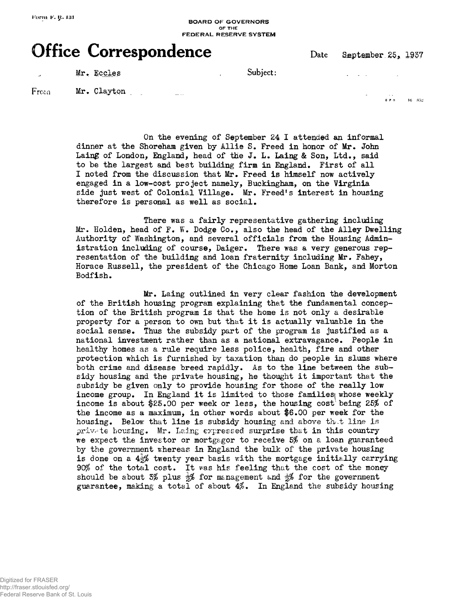## **BOARD OF GOVERNORS** OF THE **FEDERAL RESERVE SYSTEM**

## **Office Correspondence** Date September 25, 1937

Mr. Eccles , Subject: . . .

From Mr. Clayton

6 P 0 16 852

On the evening of September 24 I attended an informal dinner at the Shoreham given by Allie S. Freed in honor of Mr. John Laing of London, England, head of the J. L. Laing & Son, Ltd., said to be the largest and best building firm in England. First of all I noted from the discussion that Mr. Freed is himself now actively engaged in a low-cost project namely, Buckingham, on the Virginia side just west of Colonial Village. Mr. Freed's interest in housing therefore is personal as well as social.

There was a fairly representative gathering including Mr. Holden, head of F. W. Dodge Co., also the head of the Alley Dwelling Authority of Washington, and several officials from the Housing Administration including of course, Daiger. There was a very generous representation of the building and loan fraternity including Mr. Fahey, Horace Russell, the president of the Chicago Home Loan Bank, and Morton Bodfish.

Mr. Laing outlined in very clear fashion the development of the British housing program explaining that the fundamental conception of the British program is that the home is not only a desirable property for a person to own but that it is actually valuable in the social sense. Thus the subsidy part of the program is justified as a national investment rather than as a national extravagance. People in healthy homes as a rule require less police, health, fire and other protection which is furnished by taxation than do people in slums where both crime and disease breed rapidly. As to the line between the subsidy housing and the private housing, he thought it important that the subsidy be given only to provide housing for those of the really low income group. In England it is limited to those families whose weekly income is about \$25.00 per week or less, the housing cost being 25% of the income as a maximum, in other words about \$6.00 per week for the housing. Below that line is subsidy housing and above that line is private housing. Mr. Laing expressed surprise that in this country we expect the investor or mortgagor to receive  $5%$  on a loan guaranteed by the government whereas in England the bulk of the private housing is done on a  $4\frac{1}{2}\%$  twenty year basis with the mortgage initially carrying 90% of the total cost. It was his feeling that the cost of the money should be about 3% plus  $\frac{1}{2}$  for management and  $\frac{1}{2}$  for the government guarantee, making a total of about  $4\%$ . In England the subsidy housing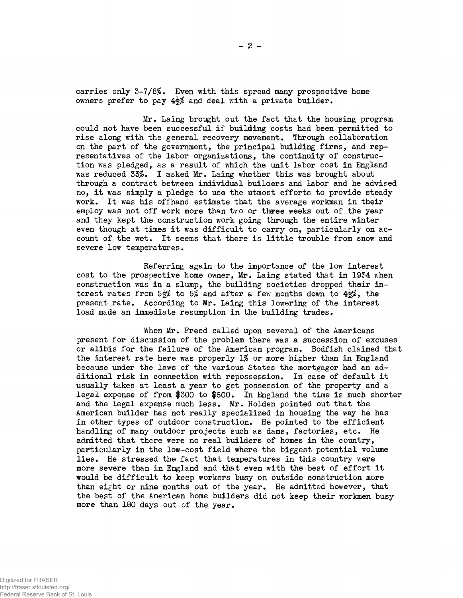carries only 3-7/8\$. Even with this spread many prospective home owners prefer to pay  $4\frac{1}{2}\%$  and deal with a private builder.

Mr. Laing brought out the fact that the housing program could not have been successful if building costs had been permitted to rise along with the general recovery movement. Through collaboration on the part of the government, the principal building firms, and representatives of the labor organizations, the continuity of construction was pledged, as a result of which the unit labor cost in England was reduced 33%. I asked Mr. Laing whether this was brought about through a contract between individual builders and labor and he advised no, it was simply a pledge to use the utmost efforts to provide steady work. It was his offhand estimate that the average workman in their employ was not off work more than two or three weeks out of the year and they kept the construction work going through the entire winter even though at times it was difficult to carry on, particularly on account of the wet. It seems that there is little trouble from snow and severe low temperatures.

Referring again to the importance of the low interest cost to the prospective home owner, Mr. Laing stated that in 1934 when construction was in a slump, the building societies dropped their interest rates from 5 $\frac{4}{2}$  to 5% and after a few months down to  $4\frac{4}{2}$ , the present rate. According to Mr. Laing this lowering of the interest load made an immediate resumption in the building trades.

When Mr. Freed called upon several of the Americans present for discussion of the problem there was a succession of excuses or alibis for the failure of the American program. Bodfish claimed that the interest rate here was properly 1% or more higher than in England because under the laws of the various States the mortgagor had an additional risk in connection with repossession. In case of default it usually takes at least a year to get possession of the property and a legal expense of from \$300 to \$500. In England the time is much shorter and the legal expense much less. Mr. Holden pointed out that the American builder has not really specialized in housing the way he has in other types of outdoor construction. He pointed to the efficient handling of many outdoor projects such as dams, factories, etc. He admitted that there were no real builders of homes in the country, particularly in the low-cost field where the biggest potential volume lies. He stressed the fact that temperatures in this country were more severe than in England and that even with the best of effort it would be difficult to keep workers busy on outside construction more than eight or nine months out of the year. He admitted however, that the best of the American home builders did not keep their workmen busy more than 180 days out of the year.